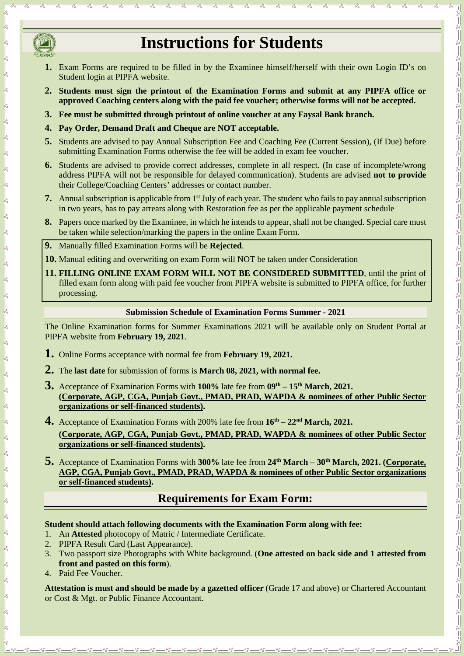

 $\frac{3}{60} - \frac{3}{60} - \frac{3}{60} - \frac{3}{60} - \frac{3}{60}$ 

 $\frac{30}{90} - \frac{30}{90} - \frac{30}{90} - \frac{30}{90} - \frac{30}{90} - \frac{30}{90} - \frac{30}{90} - \frac{30}{90} - \frac{30}{90} - \frac{30}{90} - \frac{30}{90} - \frac{30}{90} - \frac{30}{90} - \frac{30}{90} - \frac{30}{90} - \frac{30}{90} - \frac{30}{90} - \frac{30}{90} - \frac{30}{90} - \frac{30}{90} - \frac{30}{90} - \frac{30}{90} -$ 

 $\frac{3}{60} - \frac{3}{60} - \frac{3}{60} - \frac{3}{60} - \frac{3}{60} - \frac{3}{60} - \frac{3}{60} - \frac{3}{60} - \frac{3}{60} - \frac{3}{60} - \frac{3}{60} - \frac{3}{60} - \frac{3}{60} - \frac{3}{60} - \frac{3}{60} - \frac{3}{60} - \frac{3}{60} - \frac{3}{60} - \frac{3}{60} - \frac{3}{60} - \frac{3}{60} - \frac{3}{60} - \frac{3}{60} - \frac{3}{60} - \frac{3$ 

 $\frac{1}{20} = \frac{1}{20} = \frac{1}{20} = \frac{1}{20}$ 

# **Instructions for Students**

- **1.** Exam Forms are required to be filled in by the Examinee himself/herself with their own Login ID's on Student login at PIPFA website.
- **2. Students must sign the printout of the Examination Forms and submit at any PIPFA office or approved Coaching centers along with the paid fee voucher; otherwise forms will not be accepted.**
- **3. Fee must be submitted through printout of online voucher at any Faysal Bank branch.**
- **4. Pay Order, Demand Draft and Cheque are NOT acceptable.**
- **5.** Students are advised to pay Annual Subscription Fee and Coaching Fee (Current Session), (If Due) before submitting Examination Forms otherwise the fee will be added in exam fee voucher.
- **6.** Students are advised to provide correct addresses, complete in all respect. (In case of incomplete/wrong address PIPFA will not be responsible for delayed communication). Students are advised **not to provide** their College/Coaching Centers' addresses or contact number.
- **7.** Annual subscription is applicable from 1<sup>st</sup> July of each year. The student who fails to pay annual subscription in two years, has to pay arrears along with Restoration fee as per the applicable payment schedule
- **8.** Papers once marked by the Examinee, in which he intends to appear, shall not be changed. Special care must be taken while selection/marking the papers in the online Exam Form.
- **9.** Manually filled Examination Forms will be **Rejected**.
- **10.** Manual editing and overwriting on exam Form will NOT be taken under Consideration
- **11. FILLING ONLINE EXAM FORM WILL NOT BE CONSIDERED SUBMITTED**, until the print of filled exam form along with paid fee voucher from PIPFA website is submitted to PIPFA office, for further processing.

#### **Submission Schedule of Examination Forms Summer - 2021**

The Online Examination forms for Summer Examinations 2021 will be available only on Student Portal at PIPFA website from **February 19, 2021**.

- **1.** Online Forms acceptance with normal fee from **February 19, 2021.**
- **2.** The **last date** for submission of forms is **March 08, 2021, with normal fee.**
- **3.** Acceptance of Examination Forms with **100%** late fee from **<sup>09</sup>th <sup>15</sup> th March, 2021. (Corporate, AGP, CGA, Punjab Govt., PMAD, PRAD, WAPDA & nominees of other Public Sector organizations or self-financed students).**
- **4.** Acceptance of Examination Forms with 200% late fee from **<sup>16</sup> th – 22nd March, 2021.**
	- **(Corporate, AGP, CGA, Punjab Govt., PMAD, PRAD, WAPDA & nominees of other Public Sector organizations or self-financed students).**
- **5.** Acceptance of Examination Forms with **300%** late fee from **<sup>24</sup>th March – <sup>30</sup>th March, 2021. (Corporate, AGP, CGA, Punjab Govt., PMAD, PRAD, WAPDA & nominees of other Public Sector organizations or self-financed students).**

### **Requirements for Exam Form:**

#### **Student should attach following documents with the Examination Form along with fee:**

- 1. An **Attested** photocopy of Matric / Intermediate Certificate.
- 2. PIPFA Result Card (Last Appearance).
- 3. Two passport size Photographs with White background. (**One attested on back side and 1 attested from front and pasted on this form**).
- 4. Paid Fee Voucher.

**Attestation is must and should be made by a gazetted officer** (Grade 17 and above) or Chartered Accountant or Cost & Mgt. or Public Finance Accountant.